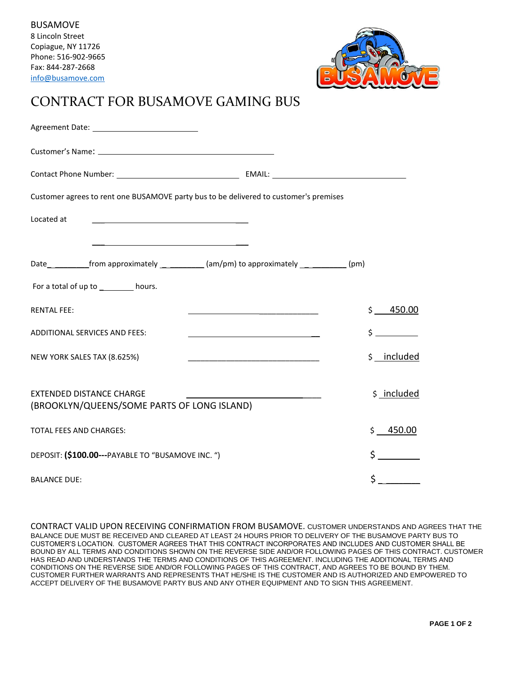

## CONTRACT FOR BUSAMOVE GAMING BUS

| Customer agrees to rent one BUSAMOVE party bus to be delivered to customer's premises         |                                                                           |
|-----------------------------------------------------------------------------------------------|---------------------------------------------------------------------------|
| Located at                                                                                    |                                                                           |
|                                                                                               |                                                                           |
| Date______________from approximately ______________(am/pm) to approximately _____________(pm) |                                                                           |
| For a total of up to __________ hours.                                                        |                                                                           |
| <b>RENTAL FEE:</b>                                                                            | Ś.<br>450.00<br><u> 1980 - Johann Barnett, fransk politiker (d. 1980)</u> |
| <b>ADDITIONAL SERVICES AND FEES:</b>                                                          | $\sim$<br><u> 1989 - Johann Barbara, martxa alemaniar amerikan a</u>      |
| NEW YORK SALES TAX (8.625%)                                                                   | \$ _ included                                                             |
|                                                                                               |                                                                           |
| <b>EXTENDED DISTANCE CHARGE</b><br>(BROOKLYN/QUEENS/SOME PARTS OF LONG ISLAND)                | \$ included                                                               |
| <b>TOTAL FEES AND CHARGES:</b>                                                                | 450.00<br>$\mathsf{S}$                                                    |
| DEPOSIT: (\$100.00---PAYABLE TO "BUSAMOVE INC. ")                                             | \$                                                                        |
| <b>BALANCE DUE:</b>                                                                           | \$                                                                        |

CONTRACT VALID UPON RECEIVING CONFIRMATION FROM BUSAMOVE. CUSTOMER UNDERSTANDS AND AGREES THAT THE BALANCE DUE MUST BE RECEIVED AND CLEARED AT LEAST 24 HOURS PRIOR TO DELIVERY OF THE BUSAMOVE PARTY BUS TO CUSTOMER'S LOCATION. CUSTOMER AGREES THAT THIS CONTRACT INCORPORATES AND INCLUDES AND CUSTOMER SHALL BE BOUND BY ALL TERMS AND CONDITIONS SHOWN ON THE REVERSE SIDE AND/OR FOLLOWING PAGES OF THIS CONTRACT. CUSTOMER HAS READ AND UNDERSTANDS THE TERMS AND CONDITIONS OF THIS AGREEMENT. INCLUDING THE ADDITIONAL TERMS AND CONDITIONS ON THE REVERSE SIDE AND/OR FOLLOWING PAGES OF THIS CONTRACT, AND AGREES TO BE BOUND BY THEM. CUSTOMER FURTHER WARRANTS AND REPRESENTS THAT HE/SHE IS THE CUSTOMER AND IS AUTHORIZED AND EMPOWERED TO ACCEPT DELIVERY OF THE BUSAMOVE PARTY BUS AND ANY OTHER EQUIPMENT AND TO SIGN THIS AGREEMENT.